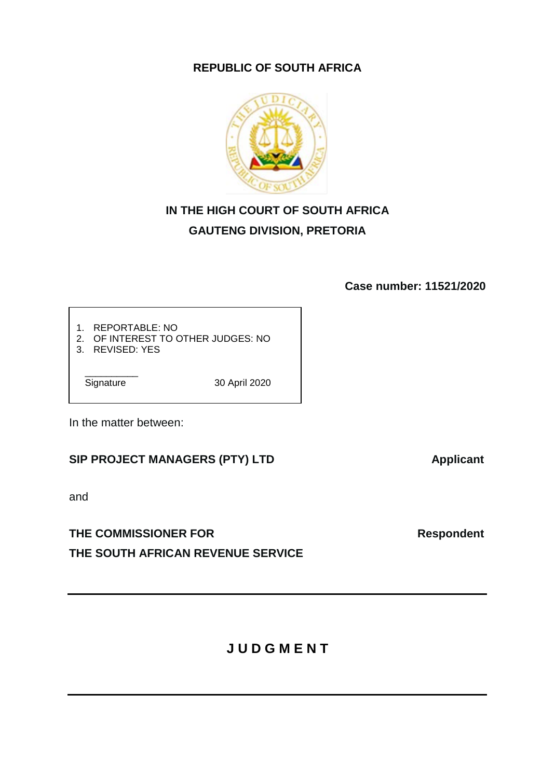# **REPUBLIC OF SOUTH AFRICA**



# **IN THE HIGH COURT OF SOUTH AFRICA GAUTENG DIVISION, PRETORIA**

**Case number: 11521/2020**

- 1. REPORTABLE: NO
- 2. OF INTEREST TO OTHER JUDGES: NO
- 3. REVISED: YES

Signature

30 April 2020

In the matter between:

# SIP PROJECT MANAGERS (PTY) LTD **Applicant**

and

# THE COMMISSIONER FOR **Respondent THE SOUTH AFRICAN REVENUE SERVICE**

**J U D G M E N T**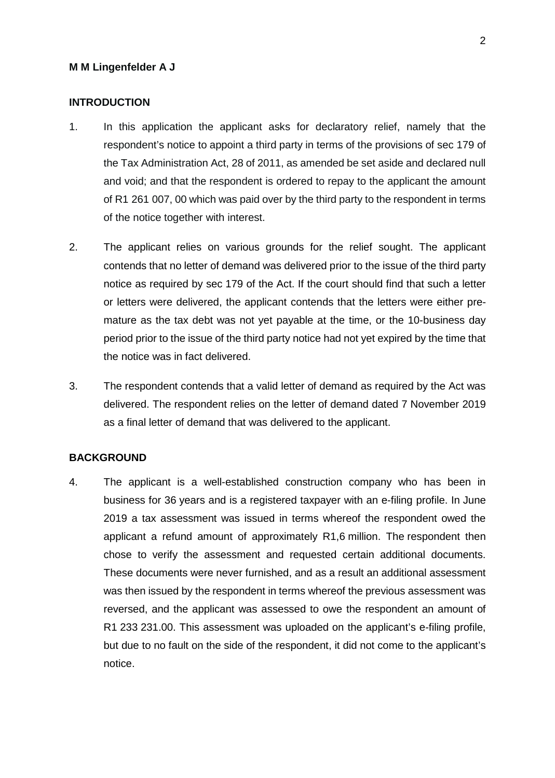#### **M M Lingenfelder A J**

### **INTRODUCTION**

- 1. In this application the applicant asks for declaratory relief, namely that the respondent's notice to appoint a third party in terms of the provisions of sec 179 of the Tax Administration Act, 28 of 2011, as amended be set aside and declared null and void; and that the respondent is ordered to repay to the applicant the amount of R1 261 007, 00 which was paid over by the third party to the respondent in terms of the notice together with interest.
- 2. The applicant relies on various grounds for the relief sought. The applicant contends that no letter of demand was delivered prior to the issue of the third party notice as required by sec 179 of the Act. If the court should find that such a letter or letters were delivered, the applicant contends that the letters were either premature as the tax debt was not yet payable at the time, or the 10-business day period prior to the issue of the third party notice had not yet expired by the time that the notice was in fact delivered.
- 3. The respondent contends that a valid letter of demand as required by the Act was delivered. The respondent relies on the letter of demand dated 7 November 2019 as a final letter of demand that was delivered to the applicant.

#### **BACKGROUND**

4. The applicant is a well-established construction company who has been in business for 36 years and is a registered taxpayer with an e-filing profile. In June 2019 a tax assessment was issued in terms whereof the respondent owed the applicant a refund amount of approximately R1,6 million. The respondent then chose to verify the assessment and requested certain additional documents. These documents were never furnished, and as a result an additional assessment was then issued by the respondent in terms whereof the previous assessment was reversed, and the applicant was assessed to owe the respondent an amount of R1 233 231.00. This assessment was uploaded on the applicant's e-filing profile, but due to no fault on the side of the respondent, it did not come to the applicant's notice.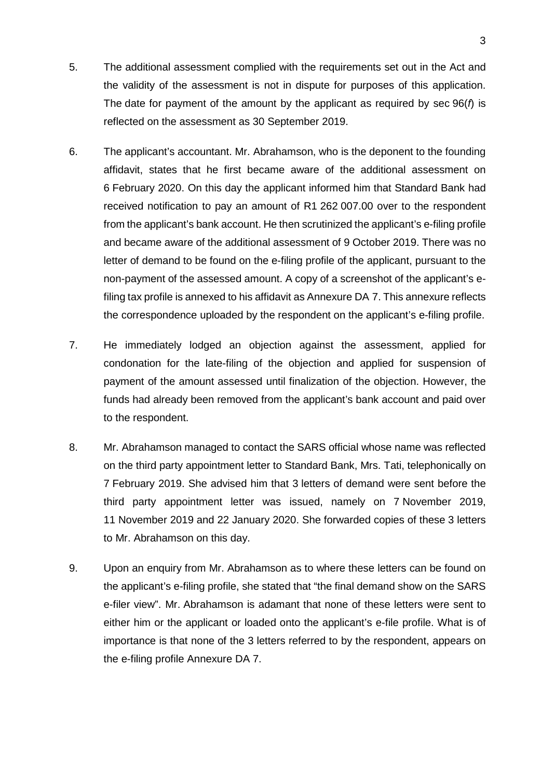- 5. The additional assessment complied with the requirements set out in the Act and the validity of the assessment is not in dispute for purposes of this application. The date for payment of the amount by the applicant as required by sec 96(*f*) is reflected on the assessment as 30 September 2019.
- 6. The applicant's accountant. Mr. Abrahamson, who is the deponent to the founding affidavit, states that he first became aware of the additional assessment on 6 February 2020. On this day the applicant informed him that Standard Bank had received notification to pay an amount of R1 262 007.00 over to the respondent from the applicant's bank account. He then scrutinized the applicant's e-filing profile and became aware of the additional assessment of 9 October 2019. There was no letter of demand to be found on the e-filing profile of the applicant, pursuant to the non-payment of the assessed amount. A copy of a screenshot of the applicant's efiling tax profile is annexed to his affidavit as Annexure DA 7. This annexure reflects the correspondence uploaded by the respondent on the applicant's e-filing profile.
- 7. He immediately lodged an objection against the assessment, applied for condonation for the late-filing of the objection and applied for suspension of payment of the amount assessed until finalization of the objection. However, the funds had already been removed from the applicant's bank account and paid over to the respondent.
- 8. Mr. Abrahamson managed to contact the SARS official whose name was reflected on the third party appointment letter to Standard Bank, Mrs. Tati, telephonically on 7 February 2019. She advised him that 3 letters of demand were sent before the third party appointment letter was issued, namely on 7 November 2019, 11 November 2019 and 22 January 2020. She forwarded copies of these 3 letters to Mr. Abrahamson on this day.
- 9. Upon an enquiry from Mr. Abrahamson as to where these letters can be found on the applicant's e-filing profile, she stated that "the final demand show on the SARS e-filer view". Mr. Abrahamson is adamant that none of these letters were sent to either him or the applicant or loaded onto the applicant's e-file profile. What is of importance is that none of the 3 letters referred to by the respondent, appears on the e-filing profile Annexure DA 7.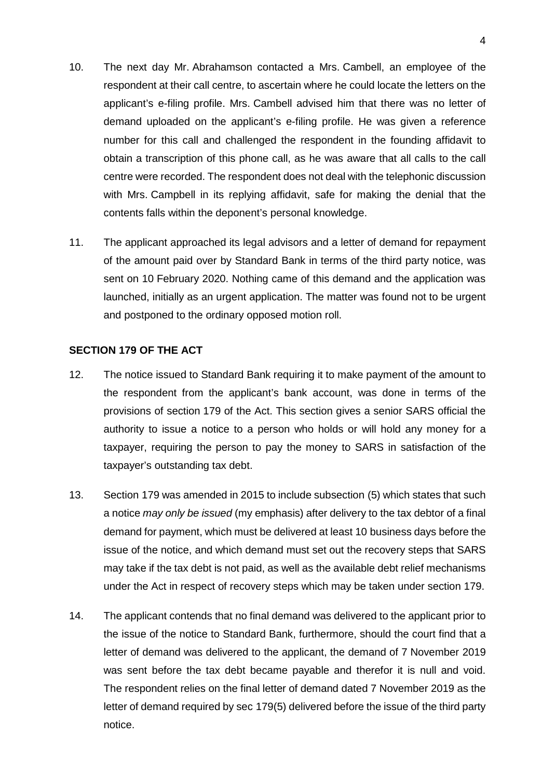- 10. The next day Mr. Abrahamson contacted a Mrs. Cambell, an employee of the respondent at their call centre, to ascertain where he could locate the letters on the applicant's e-filing profile. Mrs. Cambell advised him that there was no letter of demand uploaded on the applicant's e-filing profile. He was given a reference number for this call and challenged the respondent in the founding affidavit to obtain a transcription of this phone call, as he was aware that all calls to the call centre were recorded. The respondent does not deal with the telephonic discussion with Mrs. Campbell in its replying affidavit, safe for making the denial that the contents falls within the deponent's personal knowledge.
- 11. The applicant approached its legal advisors and a letter of demand for repayment of the amount paid over by Standard Bank in terms of the third party notice, was sent on 10 February 2020. Nothing came of this demand and the application was launched, initially as an urgent application. The matter was found not to be urgent and postponed to the ordinary opposed motion roll.

### **SECTION 179 OF THE ACT**

- 12. The notice issued to Standard Bank requiring it to make payment of the amount to the respondent from the applicant's bank account, was done in terms of the provisions of section 179 of the Act. This section gives a senior SARS official the authority to issue a notice to a person who holds or will hold any money for a taxpayer, requiring the person to pay the money to SARS in satisfaction of the taxpayer's outstanding tax debt.
- 13. Section 179 was amended in 2015 to include subsection (5) which states that such a notice *may only be issued* (my emphasis) after delivery to the tax debtor of a final demand for payment, which must be delivered at least 10 business days before the issue of the notice, and which demand must set out the recovery steps that SARS may take if the tax debt is not paid, as well as the available debt relief mechanisms under the Act in respect of recovery steps which may be taken under section 179.
- 14. The applicant contends that no final demand was delivered to the applicant prior to the issue of the notice to Standard Bank, furthermore, should the court find that a letter of demand was delivered to the applicant, the demand of 7 November 2019 was sent before the tax debt became payable and therefor it is null and void. The respondent relies on the final letter of demand dated 7 November 2019 as the letter of demand required by sec 179(5) delivered before the issue of the third party notice.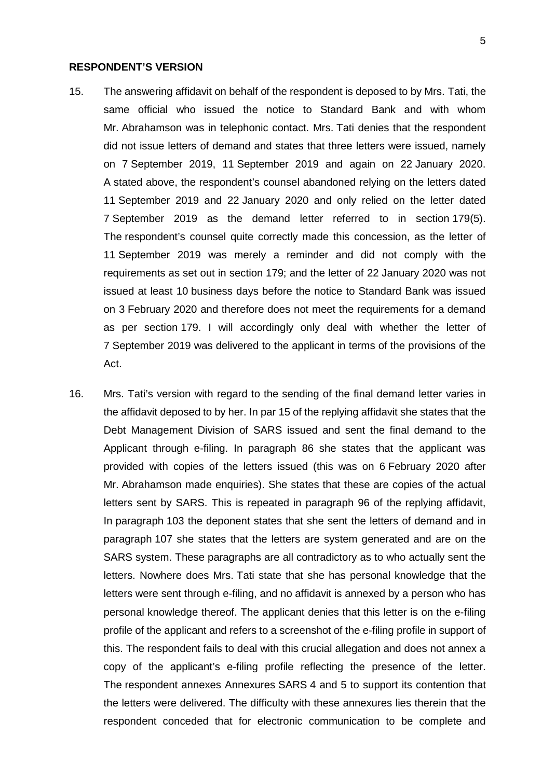#### **RESPONDENT'S VERSION**

- 15. The answering affidavit on behalf of the respondent is deposed to by Mrs. Tati, the same official who issued the notice to Standard Bank and with whom Mr. Abrahamson was in telephonic contact. Mrs. Tati denies that the respondent did not issue letters of demand and states that three letters were issued, namely on 7 September 2019, 11 September 2019 and again on 22 January 2020. A stated above, the respondent's counsel abandoned relying on the letters dated 11 September 2019 and 22 January 2020 and only relied on the letter dated 7 September 2019 as the demand letter referred to in section 179(5). The respondent's counsel quite correctly made this concession, as the letter of 11 September 2019 was merely a reminder and did not comply with the requirements as set out in section 179; and the letter of 22 January 2020 was not issued at least 10 business days before the notice to Standard Bank was issued on 3 February 2020 and therefore does not meet the requirements for a demand as per section 179. I will accordingly only deal with whether the letter of 7 September 2019 was delivered to the applicant in terms of the provisions of the Act.
- 16. Mrs. Tati's version with regard to the sending of the final demand letter varies in the affidavit deposed to by her. In par 15 of the replying affidavit she states that the Debt Management Division of SARS issued and sent the final demand to the Applicant through e-filing. In paragraph 86 she states that the applicant was provided with copies of the letters issued (this was on 6 February 2020 after Mr. Abrahamson made enquiries). She states that these are copies of the actual letters sent by SARS. This is repeated in paragraph 96 of the replying affidavit, In paragraph 103 the deponent states that she sent the letters of demand and in paragraph 107 she states that the letters are system generated and are on the SARS system. These paragraphs are all contradictory as to who actually sent the letters. Nowhere does Mrs. Tati state that she has personal knowledge that the letters were sent through e-filing, and no affidavit is annexed by a person who has personal knowledge thereof. The applicant denies that this letter is on the e-filing profile of the applicant and refers to a screenshot of the e-filing profile in support of this. The respondent fails to deal with this crucial allegation and does not annex a copy of the applicant's e-filing profile reflecting the presence of the letter. The respondent annexes Annexures SARS 4 and 5 to support its contention that the letters were delivered. The difficulty with these annexures lies therein that the respondent conceded that for electronic communication to be complete and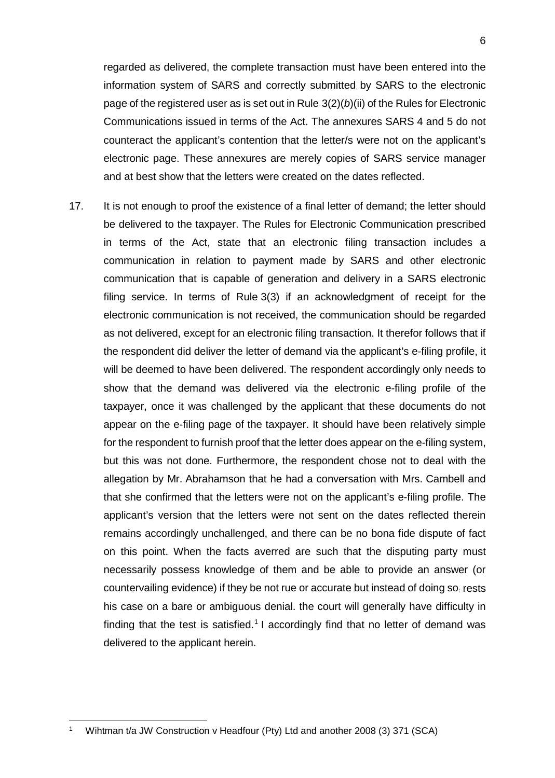regarded as delivered, the complete transaction must have been entered into the information system of SARS and correctly submitted by SARS to the electronic page of the registered user as is set out in Rule 3(2)(*b*)(ii) of the Rules for Electronic Communications issued in terms of the Act. The annexures SARS 4 and 5 do not counteract the applicant's contention that the letter/s were not on the applicant's electronic page. These annexures are merely copies of SARS service manager and at best show that the letters were created on the dates reflected.

17. It is not enough to proof the existence of a final letter of demand; the letter should be delivered to the taxpayer. The Rules for Electronic Communication prescribed in terms of the Act, state that an electronic filing transaction includes a communication in relation to payment made by SARS and other electronic communication that is capable of generation and delivery in a SARS electronic filing service. In terms of Rule 3(3) if an acknowledgment of receipt for the electronic communication is not received, the communication should be regarded as not delivered, except for an electronic filing transaction. It therefor follows that if the respondent did deliver the letter of demand via the applicant's e-filing profile, it will be deemed to have been delivered. The respondent accordingly only needs to show that the demand was delivered via the electronic e-filing profile of the taxpayer, once it was challenged by the applicant that these documents do not appear on the e-filing page of the taxpayer. It should have been relatively simple for the respondent to furnish proof that the letter does appear on the e-filing system, but this was not done. Furthermore, the respondent chose not to deal with the allegation by Mr. Abrahamson that he had a conversation with Mrs. Cambell and that she confirmed that the letters were not on the applicant's e-filing profile. The applicant's version that the letters were not sent on the dates reflected therein remains accordingly unchallenged, and there can be no bona fide dispute of fact on this point. When the facts averred are such that the disputing party must necessarily possess knowledge of them and be able to provide an answer (or countervailing evidence) if they be not rue or accurate but instead of doing so: rests his case on a bare or ambiguous denial. the court will generally have difficulty in finding that the test is satisfied.<sup>[1](#page-5-0)</sup> I accordingly find that no letter of demand was delivered to the applicant herein.

<u>.</u>

<span id="page-5-0"></span><sup>1</sup> Wihtman t/a JW Construction v Headfour (Pty) Ltd and another 2008 (3) 371 (SCA)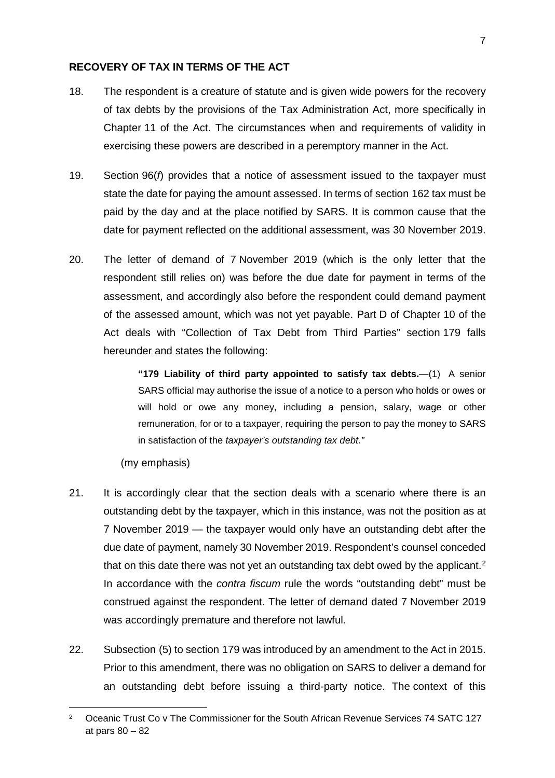## **RECOVERY OF TAX IN TERMS OF THE ACT**

- 18. The respondent is a creature of statute and is given wide powers for the recovery of tax debts by the provisions of the Tax Administration Act, more specifically in Chapter 11 of the Act. The circumstances when and requirements of validity in exercising these powers are described in a peremptory manner in the Act.
- 19. Section 96(*f*) provides that a notice of assessment issued to the taxpayer must state the date for paying the amount assessed. In terms of section 162 tax must be paid by the day and at the place notified by SARS. It is common cause that the date for payment reflected on the additional assessment, was 30 November 2019.
- 20. The letter of demand of 7 November 2019 (which is the only letter that the respondent still relies on) was before the due date for payment in terms of the assessment, and accordingly also before the respondent could demand payment of the assessed amount, which was not yet payable. Part D of Chapter 10 of the Act deals with "Collection of Tax Debt from Third Parties" section 179 falls hereunder and states the following:

**"179 Liability of third party appointed to satisfy tax debts.**—(1) A senior SARS official may authorise the issue of a notice to a person who holds or owes or will hold or owe any money, including a pension, salary, wage or other remuneration, for or to a taxpayer, requiring the person to pay the money to SARS in satisfaction of the *taxpayer's outstanding tax debt."*

(my emphasis)

<u>.</u>

- 21. It is accordingly clear that the section deals with a scenario where there is an outstanding debt by the taxpayer, which in this instance, was not the position as at 7 November 2019 — the taxpayer would only have an outstanding debt after the due date of payment, namely 30 November 2019. Respondent's counsel conceded that on this date there was not yet an outstanding tax debt owed by the applicant.<sup>[2](#page-6-0)</sup> In accordance with the *contra fiscum* rule the words "outstanding debt" must be construed against the respondent. The letter of demand dated 7 November 2019 was accordingly premature and therefore not lawful.
- 22. Subsection (5) to section 179 was introduced by an amendment to the Act in 2015. Prior to this amendment, there was no obligation on SARS to deliver a demand for an outstanding debt before issuing a third-party notice. The context of this

<span id="page-6-0"></span><sup>&</sup>lt;sup>2</sup> Oceanic Trust Co v The Commissioner for the South African Revenue Services 74 SATC 127 at pars 80 – 82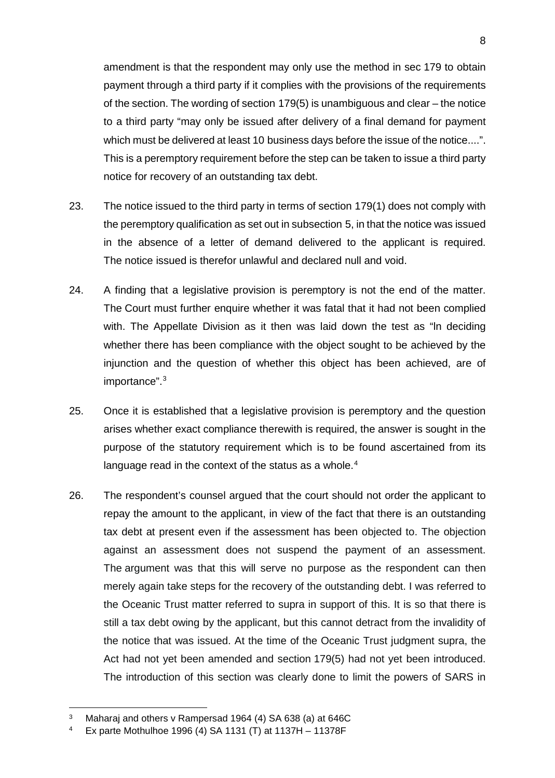amendment is that the respondent may only use the method in sec 179 to obtain payment through a third party if it complies with the provisions of the requirements of the section. The wording of section 179(5) is unambiguous and clear – the notice to a third party "may only be issued after delivery of a final demand for payment which must be delivered at least 10 business days before the issue of the notice....". This is a peremptory requirement before the step can be taken to issue a third party notice for recovery of an outstanding tax debt.

- 23. The notice issued to the third party in terms of section 179(1) does not comply with the peremptory qualification as set out in subsection 5, in that the notice was issued in the absence of a letter of demand delivered to the applicant is required. The notice issued is therefor unlawful and declared null and void.
- 24. A finding that a legislative provision is peremptory is not the end of the matter. The Court must further enquire whether it was fatal that it had not been complied with. The Appellate Division as it then was laid down the test as "ln deciding whether there has been compliance with the object sought to be achieved by the injunction and the question of whether this object has been achieved, are of importance". [3](#page-7-0)
- 25. Once it is established that a legislative provision is peremptory and the question arises whether exact compliance therewith is required, the answer is sought in the purpose of the statutory requirement which is to be found ascertained from its language read in the context of the status as a whole.<sup>[4](#page-7-1)</sup>
- 26. The respondent's counsel argued that the court should not order the applicant to repay the amount to the applicant, in view of the fact that there is an outstanding tax debt at present even if the assessment has been objected to. The objection against an assessment does not suspend the payment of an assessment. The argument was that this will serve no purpose as the respondent can then merely again take steps for the recovery of the outstanding debt. I was referred to the Oceanic Trust matter referred to supra in support of this. It is so that there is still a tax debt owing by the applicant, but this cannot detract from the invalidity of the notice that was issued. At the time of the Oceanic Trust judgment supra, the Act had not yet been amended and section 179(5) had not yet been introduced. The introduction of this section was clearly done to limit the powers of SARS in

<u>.</u>

<span id="page-7-0"></span><sup>&</sup>lt;sup>3</sup> Maharaj and others v Rampersad 1964 (4) SA 638 (a) at 646C<br><sup>4</sup> Ex parte Mothulboe 1996 (4) SA 1131 (T) at 1137H - 1137RE

<span id="page-7-1"></span><sup>4</sup> Ex parte Mothulhoe 1996 (4) SA 1131 (T) at 1137H – 11378F